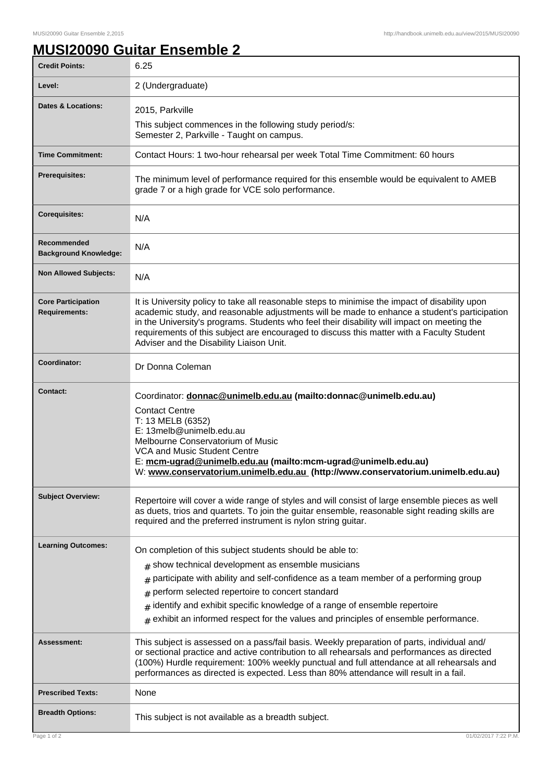٦

## **MUSI20090 Guitar Ensemble 2**

| <b>Credit Points:</b>                             | 6.25                                                                                                                                                                                                                                                                                                                                                                                                                                               |
|---------------------------------------------------|----------------------------------------------------------------------------------------------------------------------------------------------------------------------------------------------------------------------------------------------------------------------------------------------------------------------------------------------------------------------------------------------------------------------------------------------------|
| Level:                                            | 2 (Undergraduate)                                                                                                                                                                                                                                                                                                                                                                                                                                  |
| <b>Dates &amp; Locations:</b>                     | 2015, Parkville<br>This subject commences in the following study period/s:<br>Semester 2, Parkville - Taught on campus.                                                                                                                                                                                                                                                                                                                            |
| <b>Time Commitment:</b>                           | Contact Hours: 1 two-hour rehearsal per week Total Time Commitment: 60 hours                                                                                                                                                                                                                                                                                                                                                                       |
| <b>Prerequisites:</b>                             | The minimum level of performance required for this ensemble would be equivalent to AMEB<br>grade 7 or a high grade for VCE solo performance.                                                                                                                                                                                                                                                                                                       |
| <b>Corequisites:</b>                              | N/A                                                                                                                                                                                                                                                                                                                                                                                                                                                |
| Recommended<br><b>Background Knowledge:</b>       | N/A                                                                                                                                                                                                                                                                                                                                                                                                                                                |
| <b>Non Allowed Subjects:</b>                      | N/A                                                                                                                                                                                                                                                                                                                                                                                                                                                |
| <b>Core Participation</b><br><b>Requirements:</b> | It is University policy to take all reasonable steps to minimise the impact of disability upon<br>academic study, and reasonable adjustments will be made to enhance a student's participation<br>in the University's programs. Students who feel their disability will impact on meeting the<br>requirements of this subject are encouraged to discuss this matter with a Faculty Student<br>Adviser and the Disability Liaison Unit.             |
| Coordinator:                                      | Dr Donna Coleman                                                                                                                                                                                                                                                                                                                                                                                                                                   |
| Contact:                                          | Coordinator: donnac@unimelb.edu.au (mailto:donnac@unimelb.edu.au)<br><b>Contact Centre</b><br>T: 13 MELB (6352)<br>E: 13melb@unimelb.edu.au<br>Melbourne Conservatorium of Music<br>VCA and Music Student Centre<br>E: mcm-ugrad@unimelb.edu.au (mailto:mcm-ugrad@unimelb.edu.au)<br>W: www.conservatorium.unimelb.edu.au (http://www.conservatorium.unimelb.edu.au)                                                                               |
| <b>Subject Overview:</b>                          | Repertoire will cover a wide range of styles and will consist of large ensemble pieces as well<br>as duets, trios and quartets. To join the guitar ensemble, reasonable sight reading skills are<br>required and the preferred instrument is nylon string guitar.                                                                                                                                                                                  |
| <b>Learning Outcomes:</b>                         | On completion of this subject students should be able to:<br>$#$ show technical development as ensemble musicians<br>participate with ability and self-confidence as a team member of a performing group<br>#<br>perform selected repertoire to concert standard<br>#<br>identify and exhibit specific knowledge of a range of ensemble repertoire<br>#<br>exhibit an informed respect for the values and principles of ensemble performance.<br># |
| <b>Assessment:</b>                                | This subject is assessed on a pass/fail basis. Weekly preparation of parts, individual and/<br>or sectional practice and active contribution to all rehearsals and performances as directed<br>(100%) Hurdle requirement: 100% weekly punctual and full attendance at all rehearsals and<br>performances as directed is expected. Less than 80% attendance will result in a fail.                                                                  |
| <b>Prescribed Texts:</b>                          | None                                                                                                                                                                                                                                                                                                                                                                                                                                               |
| <b>Breadth Options:</b>                           | This subject is not available as a breadth subject.                                                                                                                                                                                                                                                                                                                                                                                                |
| Page 1 of 2                                       | 01/02/2017 7:22 P.M                                                                                                                                                                                                                                                                                                                                                                                                                                |